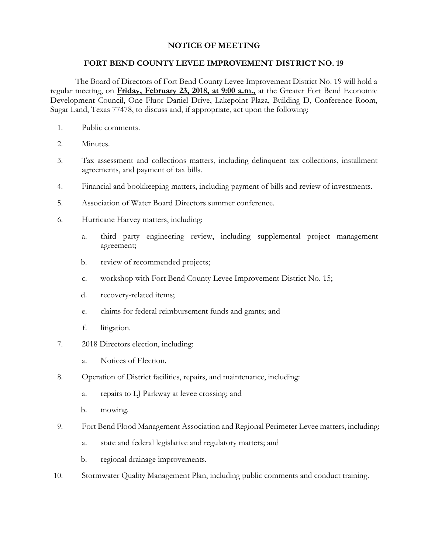## **NOTICE OF MEETING**

## **FORT BEND COUNTY LEVEE IMPROVEMENT DISTRICT NO. 19**

The Board of Directors of Fort Bend County Levee Improvement District No. 19 will hold a regular meeting, on **Friday, February 23, 2018, at 9:00 a.m.,** at the Greater Fort Bend Economic Development Council, One Fluor Daniel Drive, Lakepoint Plaza, Building D, Conference Room, Sugar Land, Texas 77478, to discuss and, if appropriate, act upon the following:

- 1. Public comments.
- 2. Minutes.
- 3. Tax assessment and collections matters, including delinquent tax collections, installment agreements, and payment of tax bills.
- 4. Financial and bookkeeping matters, including payment of bills and review of investments.
- 5. Association of Water Board Directors summer conference.
- 6. Hurricane Harvey matters, including:
	- a. third party engineering review, including supplemental project management agreement;
	- b. review of recommended projects;
	- c. workshop with Fort Bend County Levee Improvement District No. 15;
	- d. recovery-related items;
	- e. claims for federal reimbursement funds and grants; and
	- f. litigation.
- 7. 2018 Directors election, including:
	- a. Notices of Election.
- 8. Operation of District facilities, repairs, and maintenance, including:
	- a. repairs to LJ Parkway at levee crossing; and
	- b. mowing.
- 9. Fort Bend Flood Management Association and Regional Perimeter Levee matters, including:
	- a. state and federal legislative and regulatory matters; and
	- b. regional drainage improvements.
- 10. Stormwater Quality Management Plan, including public comments and conduct training.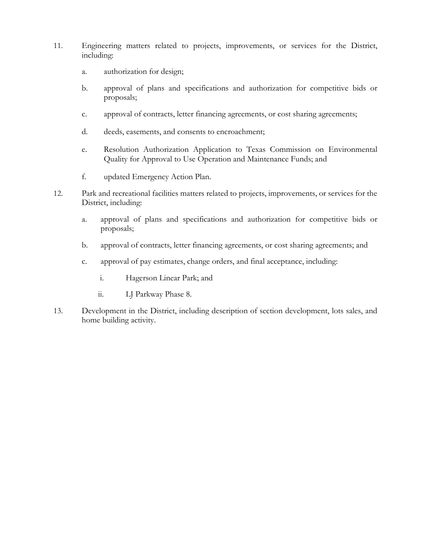- 11. Engineering matters related to projects, improvements, or services for the District, including:
	- a. authorization for design;
	- b. approval of plans and specifications and authorization for competitive bids or proposals;
	- c. approval of contracts, letter financing agreements, or cost sharing agreements;
	- d. deeds, easements, and consents to encroachment;
	- e. Resolution Authorization Application to Texas Commission on Environmental Quality for Approval to Use Operation and Maintenance Funds; and
	- f. updated Emergency Action Plan.
- 12. Park and recreational facilities matters related to projects, improvements, or services for the District, including:
	- a. approval of plans and specifications and authorization for competitive bids or proposals;
	- b. approval of contracts, letter financing agreements, or cost sharing agreements; and
	- c. approval of pay estimates, change orders, and final acceptance, including:
		- i. Hagerson Linear Park; and
		- ii. LJ Parkway Phase 8.
- 13. Development in the District, including description of section development, lots sales, and home building activity.